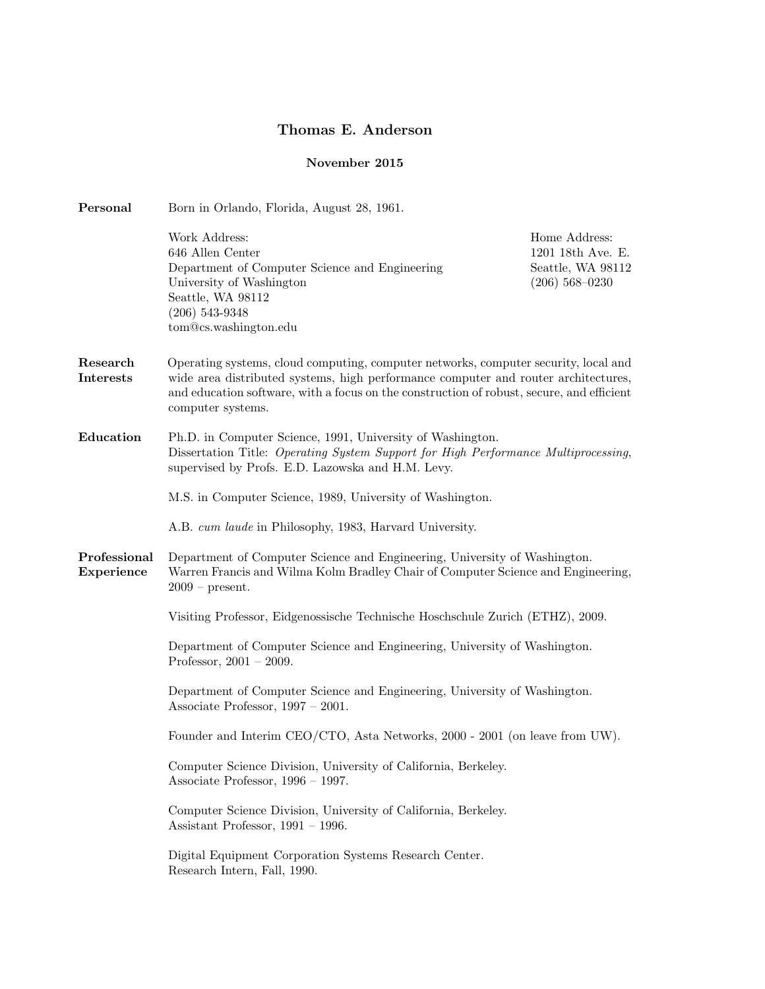## Thomas E. Anderson

## November 2015

| Personal                     | Born in Orlando, Florida, August 28, 1961.                                                                                                                                                                                                                                                  |                                                                             |  |
|------------------------------|---------------------------------------------------------------------------------------------------------------------------------------------------------------------------------------------------------------------------------------------------------------------------------------------|-----------------------------------------------------------------------------|--|
|                              | Work Address:<br>646 Allen Center<br>Department of Computer Science and Engineering<br>University of Washington<br>Seattle, WA 98112<br>$(206)$ 543-9348<br>tom@cs.washington.edu                                                                                                           | Home Address:<br>1201 18th Ave. E.<br>Seattle, WA 98112<br>$(206)$ 568-0230 |  |
| Research<br><b>Interests</b> | Operating systems, cloud computing, computer networks, computer security, local and<br>wide area distributed systems, high performance computer and router architectures,<br>and education software, with a focus on the construction of robust, secure, and efficient<br>computer systems. |                                                                             |  |
| Education                    | Ph.D. in Computer Science, 1991, University of Washington.<br>Dissertation Title: Operating System Support for High Performance Multiprocessing,<br>supervised by Profs. E.D. Lazowska and H.M. Levy.                                                                                       |                                                                             |  |
|                              | M.S. in Computer Science, 1989, University of Washington.                                                                                                                                                                                                                                   |                                                                             |  |
|                              | A.B. cum laude in Philosophy, 1983, Harvard University.                                                                                                                                                                                                                                     |                                                                             |  |
| Professional<br>Experience   | Department of Computer Science and Engineering, University of Washington.<br>Warren Francis and Wilma Kolm Bradley Chair of Computer Science and Engineering,<br>$2009$ – present.                                                                                                          |                                                                             |  |
|                              | Visiting Professor, Eidgenossische Technische Hoschschule Zurich (ETHZ), 2009.                                                                                                                                                                                                              |                                                                             |  |
|                              | Department of Computer Science and Engineering, University of Washington.<br>Professor, $2001 - 2009$ .                                                                                                                                                                                     |                                                                             |  |
|                              | Department of Computer Science and Engineering, University of Washington.<br>Associate Professor, $1997 - 2001$ .                                                                                                                                                                           |                                                                             |  |
|                              | Founder and Interim CEO/CTO, Asta Networks, 2000 - 2001 (on leave from UW).                                                                                                                                                                                                                 |                                                                             |  |
|                              | Computer Science Division, University of California, Berkeley.<br>Associate Professor, $1996 - 1997$ .                                                                                                                                                                                      |                                                                             |  |
|                              | Computer Science Division, University of California, Berkeley.<br>Assistant Professor, $1991 - 1996$ .                                                                                                                                                                                      |                                                                             |  |
|                              | Digital Equipment Corporation Systems Research Center.<br>Research Intern, Fall, 1990.                                                                                                                                                                                                      |                                                                             |  |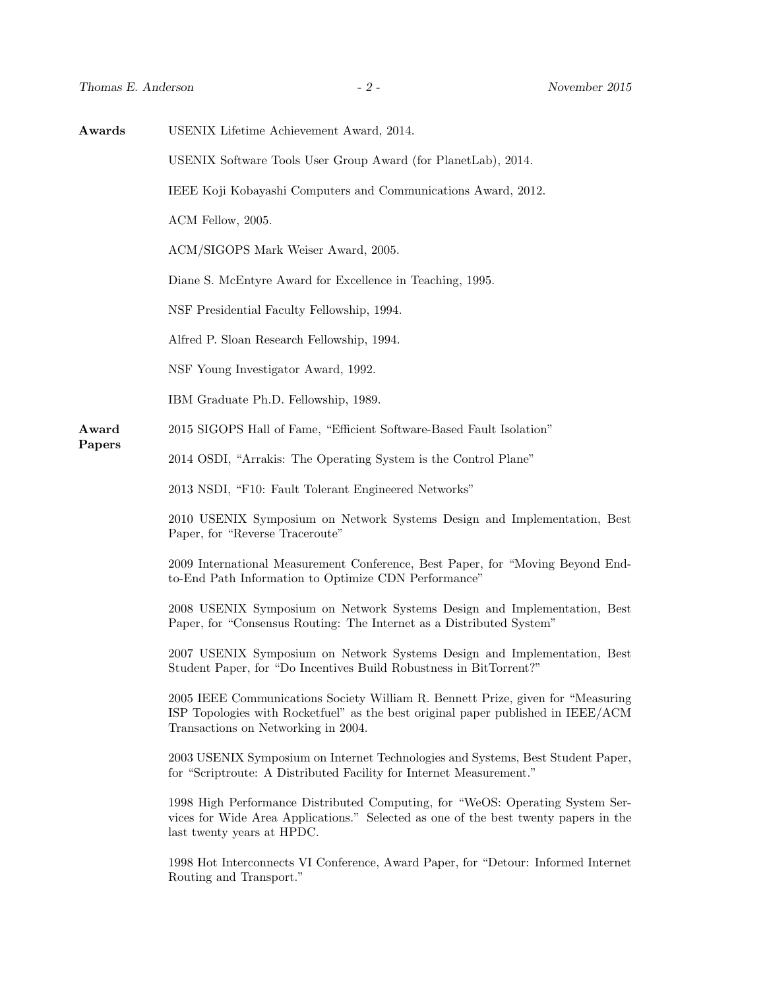| Awards          | USENIX Lifetime Achievement Award, 2014.                                                                                                                                                                    |  |
|-----------------|-------------------------------------------------------------------------------------------------------------------------------------------------------------------------------------------------------------|--|
|                 | USENIX Software Tools User Group Award (for PlanetLab), 2014.                                                                                                                                               |  |
|                 | IEEE Koji Kobayashi Computers and Communications Award, 2012.                                                                                                                                               |  |
|                 | ACM Fellow, 2005.                                                                                                                                                                                           |  |
|                 | ACM/SIGOPS Mark Weiser Award, 2005.                                                                                                                                                                         |  |
|                 | Diane S. McEntyre Award for Excellence in Teaching, 1995.                                                                                                                                                   |  |
|                 | NSF Presidential Faculty Fellowship, 1994.                                                                                                                                                                  |  |
|                 | Alfred P. Sloan Research Fellowship, 1994.                                                                                                                                                                  |  |
|                 | NSF Young Investigator Award, 1992.                                                                                                                                                                         |  |
|                 | IBM Graduate Ph.D. Fellowship, 1989.                                                                                                                                                                        |  |
| Award<br>Papers | 2015 SIGOPS Hall of Fame, "Efficient Software-Based Fault Isolation"                                                                                                                                        |  |
|                 | 2014 OSDI, "Arrakis: The Operating System is the Control Plane"                                                                                                                                             |  |
|                 | 2013 NSDI, "F10: Fault Tolerant Engineered Networks"                                                                                                                                                        |  |
|                 | 2010 USENIX Symposium on Network Systems Design and Implementation, Best<br>Paper, for "Reverse Traceroute"                                                                                                 |  |
|                 | 2009 International Measurement Conference, Best Paper, for "Moving Beyond End-<br>to-End Path Information to Optimize CDN Performance"                                                                      |  |
|                 | 2008 USENIX Symposium on Network Systems Design and Implementation, Best<br>Paper, for "Consensus Routing: The Internet as a Distributed System"                                                            |  |
|                 | 2007 USENIX Symposium on Network Systems Design and Implementation, Best<br>Student Paper, for "Do Incentives Build Robustness in BitTorrent?"                                                              |  |
|                 | 2005 IEEE Communications Society William R. Bennett Prize, given for "Measuring"<br>ISP Topologies with Rocketfuel" as the best original paper published in IEEE/ACM<br>Transactions on Networking in 2004. |  |
|                 | 2003 USENIX Symposium on Internet Technologies and Systems, Best Student Paper,<br>for "Scriptroute: A Distributed Facility for Internet Measurement."                                                      |  |
|                 | 1998 High Performance Distributed Computing, for "WeOS: Operating System Ser-<br>vices for Wide Area Applications." Selected as one of the best twenty papers in the<br>last twenty years at HPDC.          |  |
|                 | 1998 Hot Interconnects VI Conference, Award Paper, for "Detour: Informed Internet<br>Routing and Transport."                                                                                                |  |
|                 |                                                                                                                                                                                                             |  |
|                 |                                                                                                                                                                                                             |  |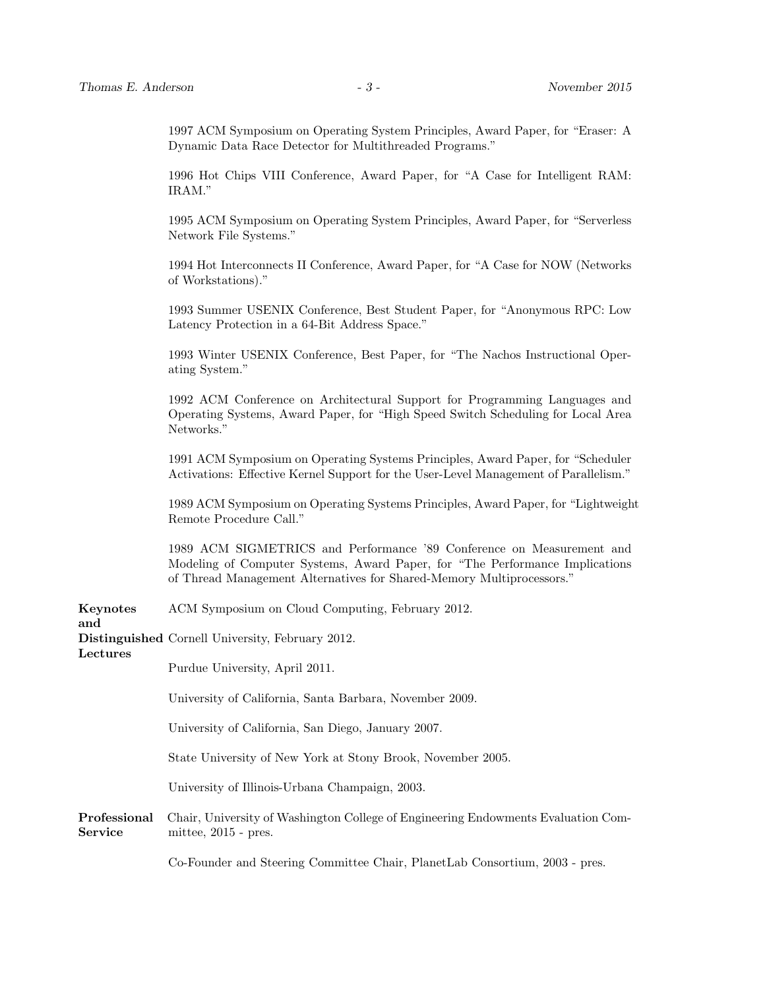1997 ACM Symposium on Operating System Principles, Award Paper, for "Eraser: A Dynamic Data Race Detector for Multithreaded Programs."

1996 Hot Chips VIII Conference, Award Paper, for "A Case for Intelligent RAM: IRAM."

1995 ACM Symposium on Operating System Principles, Award Paper, for "Serverless Network File Systems."

1994 Hot Interconnects II Conference, Award Paper, for "A Case for NOW (Networks of Workstations)."

1993 Summer USENIX Conference, Best Student Paper, for "Anonymous RPC: Low Latency Protection in a 64-Bit Address Space."

1993 Winter USENIX Conference, Best Paper, for "The Nachos Instructional Operating System."

1992 ACM Conference on Architectural Support for Programming Languages and Operating Systems, Award Paper, for "High Speed Switch Scheduling for Local Area Networks."

1991 ACM Symposium on Operating Systems Principles, Award Paper, for "Scheduler Activations: Effective Kernel Support for the User-Level Management of Parallelism."

1989 ACM Symposium on Operating Systems Principles, Award Paper, for "Lightweight Remote Procedure Call."

1989 ACM SIGMETRICS and Performance '89 Conference on Measurement and Modeling of Computer Systems, Award Paper, for "The Performance Implications of Thread Management Alternatives for Shared-Memory Multiprocessors."

Keynotes ACM Symposium on Cloud Computing, February 2012.

and

Distinguished Cornell University, February 2012.

Lectures

Purdue University, April 2011.

University of California, Santa Barbara, November 2009.

University of California, San Diego, January 2007.

State University of New York at Stony Brook, November 2005.

University of Illinois-Urbana Champaign, 2003.

Professional Chair, University of Washington College of Engineering Endowments Evaluation Com-Service mittee, 2015 - pres.

Co-Founder and Steering Committee Chair, PlanetLab Consortium, 2003 - pres.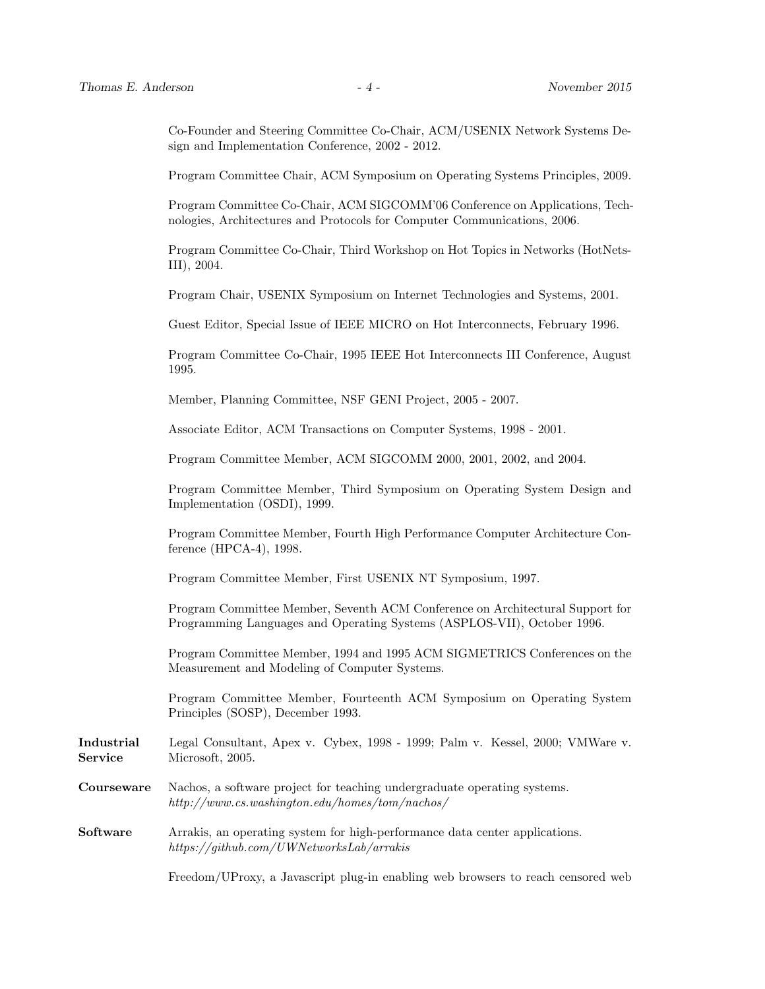Co-Founder and Steering Committee Co-Chair, ACM/USENIX Network Systems Design and Implementation Conference, 2002 - 2012.

Program Committee Chair, ACM Symposium on Operating Systems Principles, 2009.

Program Committee Co-Chair, ACM SIGCOMM'06 Conference on Applications, Technologies, Architectures and Protocols for Computer Communications, 2006.

Program Committee Co-Chair, Third Workshop on Hot Topics in Networks (HotNets-III), 2004.

Program Chair, USENIX Symposium on Internet Technologies and Systems, 2001.

Guest Editor, Special Issue of IEEE MICRO on Hot Interconnects, February 1996.

Program Committee Co-Chair, 1995 IEEE Hot Interconnects III Conference, August 1995.

Member, Planning Committee, NSF GENI Project, 2005 - 2007.

Associate Editor, ACM Transactions on Computer Systems, 1998 - 2001.

Program Committee Member, ACM SIGCOMM 2000, 2001, 2002, and 2004.

Program Committee Member, Third Symposium on Operating System Design and Implementation (OSDI), 1999.

Program Committee Member, Fourth High Performance Computer Architecture Conference (HPCA-4), 1998.

Program Committee Member, First USENIX NT Symposium, 1997.

Program Committee Member, Seventh ACM Conference on Architectural Support for Programming Languages and Operating Systems (ASPLOS-VII), October 1996.

Program Committee Member, 1994 and 1995 ACM SIGMETRICS Conferences on the Measurement and Modeling of Computer Systems.

Program Committee Member, Fourteenth ACM Symposium on Operating System Principles (SOSP), December 1993.

- Industrial Legal Consultant, Apex v. Cybex, 1998 1999; Palm v. Kessel, 2000; VMWare v. Service Microsoft, 2005.
- Courseware Nachos, a software project for teaching undergraduate operating systems. http://www.cs.washington.edu/homes/tom/nachos/
- Software Arrakis, an operating system for high-performance data center applications. https://github.com/UWNetworksLab/arrakis

Freedom/UProxy, a Javascript plug-in enabling web browsers to reach censored web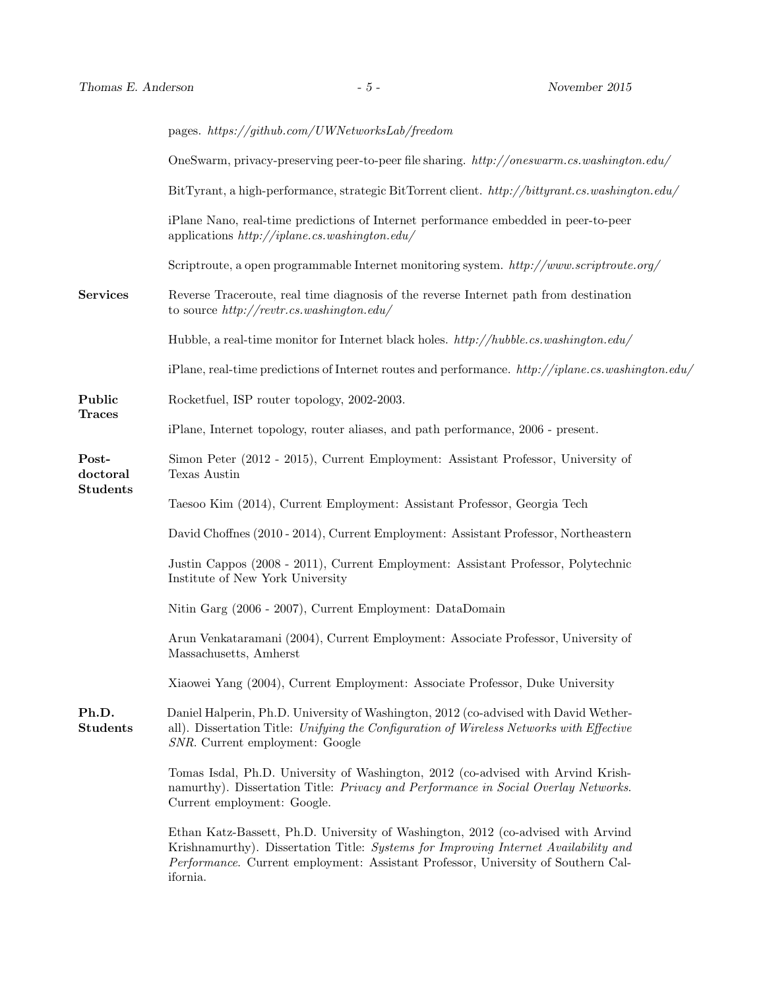|                                      | pages. https://github.com/UWNetworksLab/freedom                                                                                                                                                                                                                          |
|--------------------------------------|--------------------------------------------------------------------------------------------------------------------------------------------------------------------------------------------------------------------------------------------------------------------------|
|                                      | OneSwarm, privacy-preserving peer-to-peer file sharing. http://oneswarm.cs.washington.edu/                                                                                                                                                                               |
|                                      | BitTyrant, a high-performance, strategic BitTorrent client. http://bittyrant.cs.washington.edu/                                                                                                                                                                          |
|                                      | iPlane Nano, real-time predictions of Internet performance embedded in peer-to-peer<br>applications $http://iplane.cs.washington.edu/$                                                                                                                                   |
|                                      | Scriptroute, a open programmable Internet monitoring system. http://www.scriptroute.org/                                                                                                                                                                                 |
| <b>Services</b>                      | Reverse Traceroute, real time diagnosis of the reverse Internet path from destination<br>to source $http://revtr.cs.washington.edu/$                                                                                                                                     |
|                                      | Hubble, a real-time monitor for Internet black holes. $http://hubble.cs.washington.edu/$                                                                                                                                                                                 |
|                                      | iPlane, real-time predictions of Internet routes and performance. http://iplane.cs.washington.edu/                                                                                                                                                                       |
| Public<br><b>Traces</b>              | Rocketfuel, ISP router topology, 2002-2003.                                                                                                                                                                                                                              |
|                                      | iPlane, Internet topology, router aliases, and path performance, 2006 - present.                                                                                                                                                                                         |
| Post-<br>doctoral<br><b>Students</b> | Simon Peter (2012 - 2015), Current Employment: Assistant Professor, University of<br>Texas Austin                                                                                                                                                                        |
|                                      | Taesoo Kim (2014), Current Employment: Assistant Professor, Georgia Tech                                                                                                                                                                                                 |
|                                      | David Choffnes (2010 - 2014), Current Employment: Assistant Professor, Northeastern                                                                                                                                                                                      |
|                                      | Justin Cappos (2008 - 2011), Current Employment: Assistant Professor, Polytechnic<br>Institute of New York University                                                                                                                                                    |
|                                      | Nitin Garg (2006 - 2007), Current Employment: DataDomain                                                                                                                                                                                                                 |
|                                      | Arun Venkataramani (2004), Current Employment: Associate Professor, University of<br>Massachusetts, Amherst                                                                                                                                                              |
|                                      | Xiaowei Yang (2004), Current Employment: Associate Professor, Duke University                                                                                                                                                                                            |
| Ph.D.<br><b>Students</b>             | Daniel Halperin, Ph.D. University of Washington, 2012 (co-advised with David Wether-<br>all). Dissertation Title: Unifying the Configuration of Wireless Networks with Effective<br>SNR. Current employment: Google                                                      |
|                                      | Tomas Isdal, Ph.D. University of Washington, 2012 (co-advised with Arvind Krish-<br>namurthy). Dissertation Title: Privacy and Performance in Social Overlay Networks.<br>Current employment: Google.                                                                    |
|                                      | Ethan Katz-Bassett, Ph.D. University of Washington, 2012 (co-advised with Arvind<br>Krishnamurthy). Dissertation Title: Systems for Improving Internet Availability and<br>Performance. Current employment: Assistant Professor, University of Southern Cal-<br>ifornia. |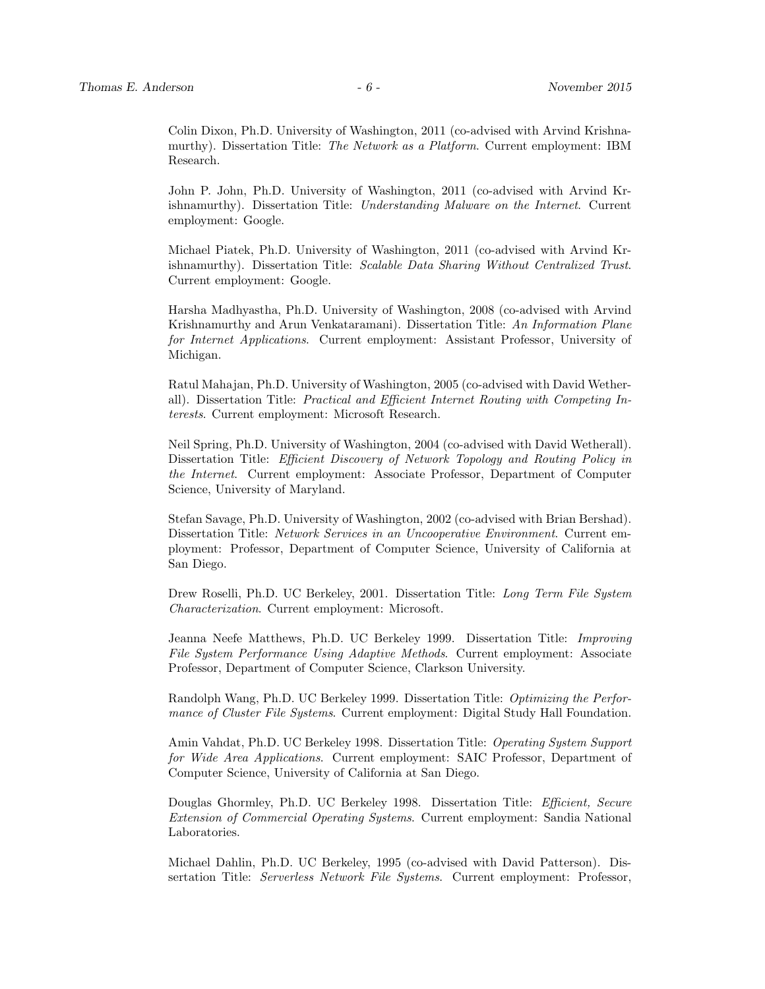Colin Dixon, Ph.D. University of Washington, 2011 (co-advised with Arvind Krishnamurthy). Dissertation Title: The Network as a Platform. Current employment: IBM Research.

John P. John, Ph.D. University of Washington, 2011 (co-advised with Arvind Krishnamurthy). Dissertation Title: Understanding Malware on the Internet. Current employment: Google.

Michael Piatek, Ph.D. University of Washington, 2011 (co-advised with Arvind Krishnamurthy). Dissertation Title: Scalable Data Sharing Without Centralized Trust. Current employment: Google.

Harsha Madhyastha, Ph.D. University of Washington, 2008 (co-advised with Arvind Krishnamurthy and Arun Venkataramani). Dissertation Title: An Information Plane for Internet Applications. Current employment: Assistant Professor, University of Michigan.

Ratul Mahajan, Ph.D. University of Washington, 2005 (co-advised with David Wetherall). Dissertation Title: Practical and Efficient Internet Routing with Competing Interests. Current employment: Microsoft Research.

Neil Spring, Ph.D. University of Washington, 2004 (co-advised with David Wetherall). Dissertation Title: Efficient Discovery of Network Topology and Routing Policy in the Internet. Current employment: Associate Professor, Department of Computer Science, University of Maryland.

Stefan Savage, Ph.D. University of Washington, 2002 (co-advised with Brian Bershad). Dissertation Title: Network Services in an Uncooperative Environment. Current employment: Professor, Department of Computer Science, University of California at San Diego.

Drew Roselli, Ph.D. UC Berkeley, 2001. Dissertation Title: Long Term File System Characterization. Current employment: Microsoft.

Jeanna Neefe Matthews, Ph.D. UC Berkeley 1999. Dissertation Title: Improving File System Performance Using Adaptive Methods. Current employment: Associate Professor, Department of Computer Science, Clarkson University.

Randolph Wang, Ph.D. UC Berkeley 1999. Dissertation Title: Optimizing the Performance of Cluster File Systems. Current employment: Digital Study Hall Foundation.

Amin Vahdat, Ph.D. UC Berkeley 1998. Dissertation Title: Operating System Support for Wide Area Applications. Current employment: SAIC Professor, Department of Computer Science, University of California at San Diego.

Douglas Ghormley, Ph.D. UC Berkeley 1998. Dissertation Title: Efficient, Secure Extension of Commercial Operating Systems. Current employment: Sandia National Laboratories.

Michael Dahlin, Ph.D. UC Berkeley, 1995 (co-advised with David Patterson). Dissertation Title: Serverless Network File Systems. Current employment: Professor,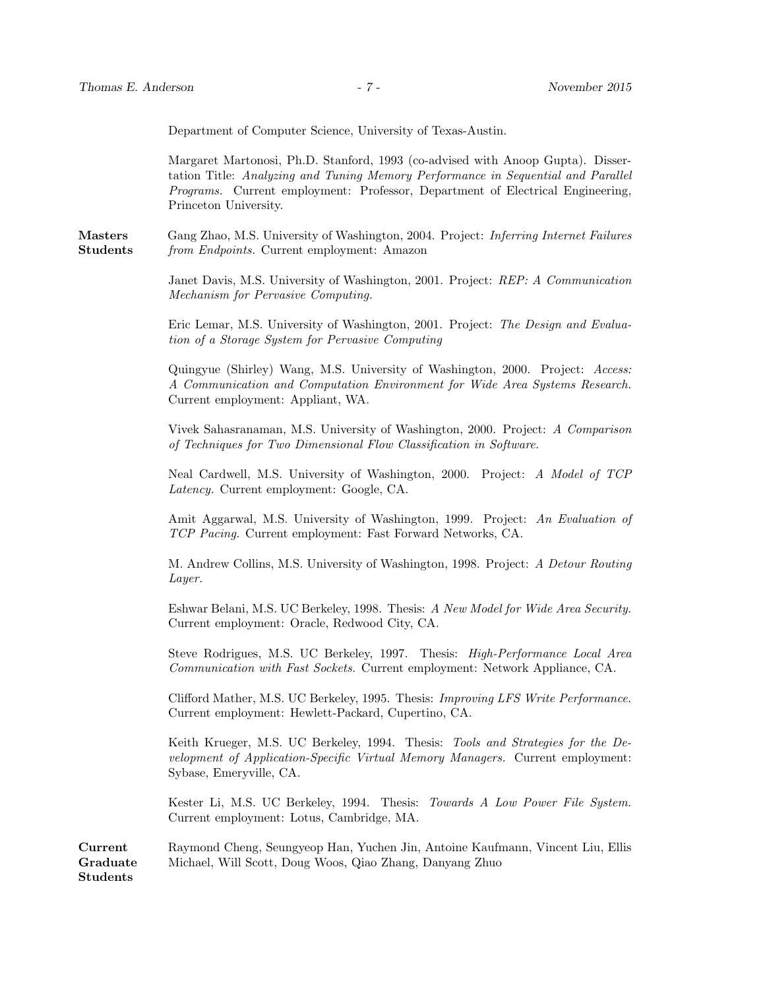Department of Computer Science, University of Texas-Austin.

Margaret Martonosi, Ph.D. Stanford, 1993 (co-advised with Anoop Gupta). Dissertation Title: Analyzing and Tuning Memory Performance in Sequential and Parallel Programs. Current employment: Professor, Department of Electrical Engineering, Princeton University.

Masters Gang Zhao, M.S. University of Washington, 2004. Project: Inferring Internet Failures **Students** *from Endpoints.* Current employment: Amazon

> Janet Davis, M.S. University of Washington, 2001. Project: REP: A Communication Mechanism for Pervasive Computing.

> Eric Lemar, M.S. University of Washington, 2001. Project: The Design and Evaluation of a Storage System for Pervasive Computing

> Quingyue (Shirley) Wang, M.S. University of Washington, 2000. Project: Access: A Communication and Computation Environment for Wide Area Systems Research. Current employment: Appliant, WA.

> Vivek Sahasranaman, M.S. University of Washington, 2000. Project: A Comparison of Techniques for Two Dimensional Flow Classification in Software.

> Neal Cardwell, M.S. University of Washington, 2000. Project: A Model of TCP Latency. Current employment: Google, CA.

> Amit Aggarwal, M.S. University of Washington, 1999. Project: An Evaluation of TCP Pacing. Current employment: Fast Forward Networks, CA.

> M. Andrew Collins, M.S. University of Washington, 1998. Project: A Detour Routing Layer.

> Eshwar Belani, M.S. UC Berkeley, 1998. Thesis: A New Model for Wide Area Security. Current employment: Oracle, Redwood City, CA.

> Steve Rodrigues, M.S. UC Berkeley, 1997. Thesis: High-Performance Local Area Communication with Fast Sockets. Current employment: Network Appliance, CA.

> Clifford Mather, M.S. UC Berkeley, 1995. Thesis: Improving LFS Write Performance. Current employment: Hewlett-Packard, Cupertino, CA.

> Keith Krueger, M.S. UC Berkeley, 1994. Thesis: Tools and Strategies for the Development of Application-Specific Virtual Memory Managers. Current employment: Sybase, Emeryville, CA.

> Kester Li, M.S. UC Berkeley, 1994. Thesis: Towards A Low Power File System. Current employment: Lotus, Cambridge, MA.

Current Raymond Cheng, Seungyeop Han, Yuchen Jin, Antoine Kaufmann, Vincent Liu, Ellis Graduate Students Michael, Will Scott, Doug Woos, Qiao Zhang, Danyang Zhuo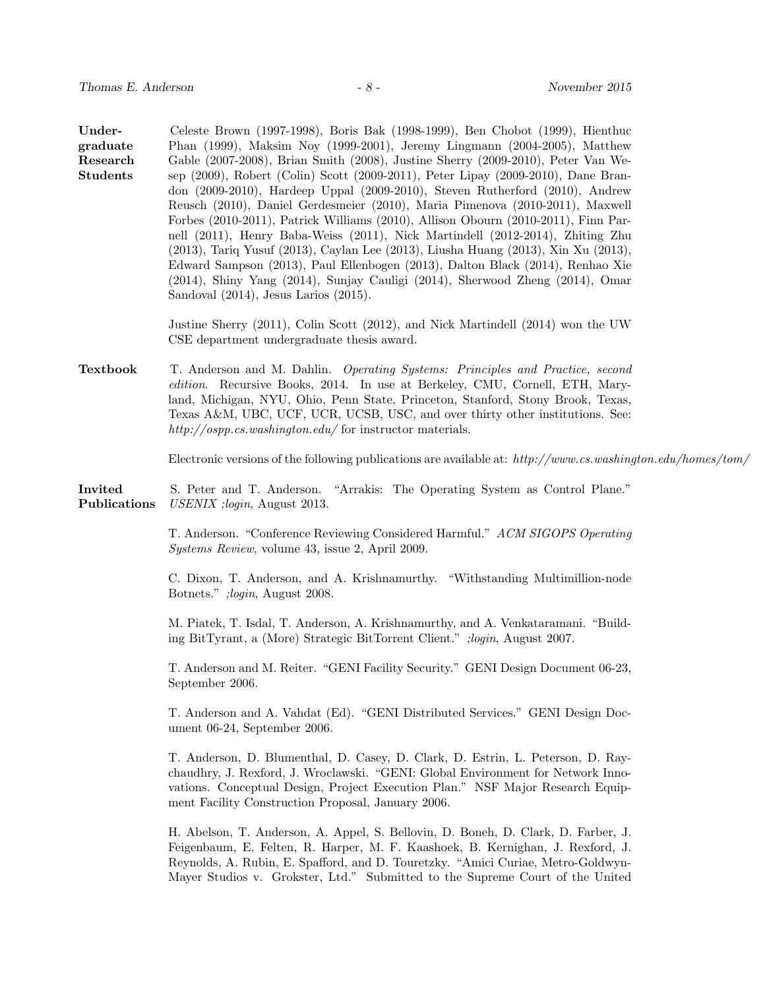| Under-<br>graduate<br>Research<br><b>Students</b> | Celeste Brown (1997-1998), Boris Bak (1998-1999), Ben Chobot (1999), Hienthuc<br>Phan (1999), Maksim Noy (1999-2001), Jeremy Lingmann (2004-2005), Matthew<br>Gable (2007-2008), Brian Smith (2008), Justine Sherry (2009-2010), Peter Van We-<br>sep (2009), Robert (Colin) Scott (2009-2011), Peter Lipay (2009-2010), Dane Bran-<br>don (2009-2010), Hardeep Uppal (2009-2010), Steven Rutherford (2010), Andrew<br>Reusch (2010), Daniel Gerdesmeier (2010), Maria Pimenova (2010-2011), Maxwell<br>Forbes (2010-2011), Patrick Williams (2010), Allison Obourn (2010-2011), Finn Par-<br>nell (2011), Henry Baba-Weiss (2011), Nick Martindell (2012-2014), Zhiting Zhu<br>(2013), Tariq Yusuf (2013), Caylan Lee (2013), Liusha Huang (2013), Xin Xu (2013),<br>Edward Sampson (2013), Paul Ellenbogen (2013), Dalton Black (2014), Renhao Xie<br>$(2014)$ , Shiny Yang $(2014)$ , Sunjay Cauligi $(2014)$ , Sherwood Zheng $(2014)$ , Omar<br>Sandoval $(2014)$ , Jesus Larios $(2015)$ . |
|---------------------------------------------------|--------------------------------------------------------------------------------------------------------------------------------------------------------------------------------------------------------------------------------------------------------------------------------------------------------------------------------------------------------------------------------------------------------------------------------------------------------------------------------------------------------------------------------------------------------------------------------------------------------------------------------------------------------------------------------------------------------------------------------------------------------------------------------------------------------------------------------------------------------------------------------------------------------------------------------------------------------------------------------------------------|
|                                                   | Justine Sherry (2011), Colin Scott (2012), and Nick Martindell (2014) won the UW<br>CSE department undergraduate thesis award.                                                                                                                                                                                                                                                                                                                                                                                                                                                                                                                                                                                                                                                                                                                                                                                                                                                                   |
| Textbook                                          | T. Anderson and M. Dahlin. Operating Systems: Principles and Practice, second<br>edition. Recursive Books, 2014. In use at Berkeley, CMU, Cornell, ETH, Mary-<br>land, Michigan, NYU, Ohio, Penn State, Princeton, Stanford, Stony Brook, Texas,<br>Texas A&M, UBC, UCF, UCR, UCSB, USC, and over thirty other institutions. See:<br>$http://ospp.cs.washington.edu/for instructor materials.$                                                                                                                                                                                                                                                                                                                                                                                                                                                                                                                                                                                                   |
|                                                   | Electronic versions of the following publications are available at: $http://www.cs.washington.edu/homes/tom/s$                                                                                                                                                                                                                                                                                                                                                                                                                                                                                                                                                                                                                                                                                                                                                                                                                                                                                   |
| Invited<br>Publications                           | S. Peter and T. Anderson. "Arrakis: The Operating System as Control Plane."<br>USENIX ; login, August 2013.                                                                                                                                                                                                                                                                                                                                                                                                                                                                                                                                                                                                                                                                                                                                                                                                                                                                                      |
|                                                   | T. Anderson. "Conference Reviewing Considered Harmful." ACM SIGOPS Operating<br><i>Systems Review</i> , volume 43, issue 2, April 2009.                                                                                                                                                                                                                                                                                                                                                                                                                                                                                                                                                                                                                                                                                                                                                                                                                                                          |
|                                                   | C. Dixon, T. Anderson, and A. Krishnamurthy. "Withstanding Multimillion-node<br>Botnets."; login, August 2008.                                                                                                                                                                                                                                                                                                                                                                                                                                                                                                                                                                                                                                                                                                                                                                                                                                                                                   |
|                                                   | M. Piatek, T. Isdal, T. Anderson, A. Krishnamurthy, and A. Venkataramani. "Build-<br>ing BitTyrant, a (More) Strategic BitTorrent Client." ; login, August 2007.                                                                                                                                                                                                                                                                                                                                                                                                                                                                                                                                                                                                                                                                                                                                                                                                                                 |
|                                                   | T. Anderson and M. Reiter. "GENI Facility Security." GENI Design Document 06-23,<br>September 2006.                                                                                                                                                                                                                                                                                                                                                                                                                                                                                                                                                                                                                                                                                                                                                                                                                                                                                              |
|                                                   | T. Anderson and A. Vahdat (Ed). "GENI Distributed Services." GENI Design Doc-<br>ument 06-24, September 2006.                                                                                                                                                                                                                                                                                                                                                                                                                                                                                                                                                                                                                                                                                                                                                                                                                                                                                    |
|                                                   | T. Anderson, D. Blumenthal, D. Casey, D. Clark, D. Estrin, L. Peterson, D. Ray-<br>chaudhry, J. Rexford, J. Wroclawski. "GENI: Global Environment for Network Inno-<br>vations. Conceptual Design, Project Execution Plan." NSF Major Research Equip-<br>ment Facility Construction Proposal, January 2006.                                                                                                                                                                                                                                                                                                                                                                                                                                                                                                                                                                                                                                                                                      |
|                                                   | H. Abelson, T. Anderson, A. Appel, S. Bellovin, D. Boneh, D. Clark, D. Farber, J.<br>Feigenbaum, E. Felten, R. Harper, M. F. Kaashoek, B. Kernighan, J. Rexford, J.<br>Reynolds, A. Rubin, E. Spafford, and D. Touretzky. "Amici Curiae, Metro-Goldwyn-<br>Mayer Studios v. Grokster, Ltd." Submitted to the Supreme Court of the United                                                                                                                                                                                                                                                                                                                                                                                                                                                                                                                                                                                                                                                         |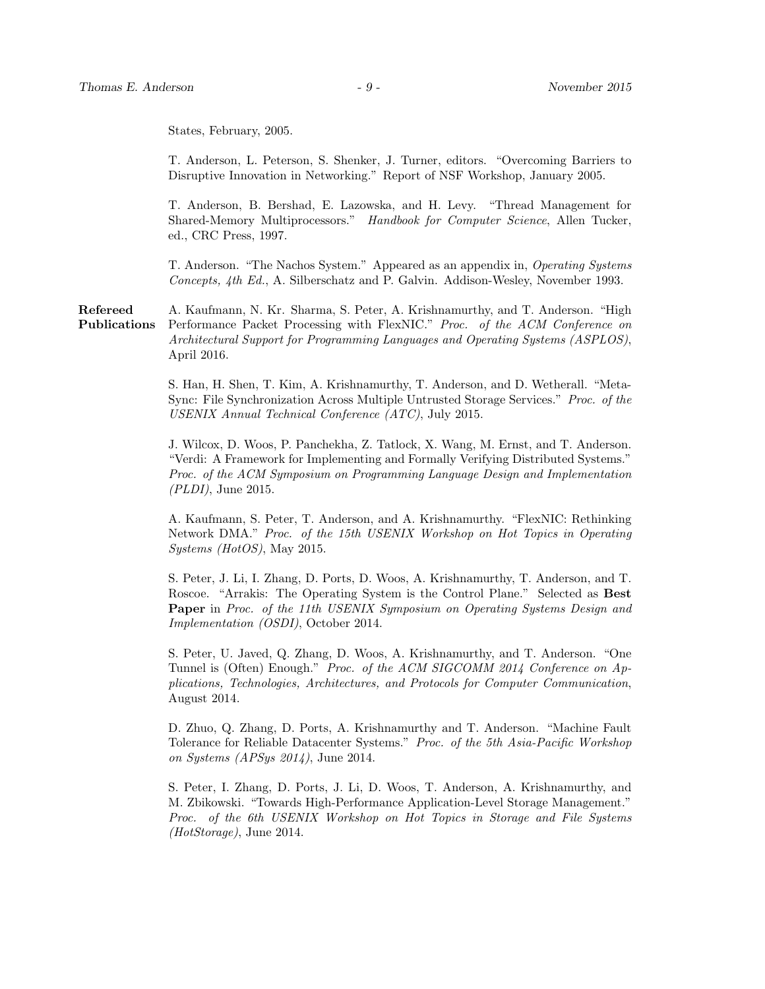States, February, 2005.

T. Anderson, L. Peterson, S. Shenker, J. Turner, editors. "Overcoming Barriers to Disruptive Innovation in Networking." Report of NSF Workshop, January 2005.

T. Anderson, B. Bershad, E. Lazowska, and H. Levy. "Thread Management for Shared-Memory Multiprocessors." Handbook for Computer Science, Allen Tucker, ed., CRC Press, 1997.

T. Anderson. "The Nachos System." Appeared as an appendix in, Operating Systems Concepts, 4th Ed., A. Silberschatz and P. Galvin. Addison-Wesley, November 1993.

Refereed A. Kaufmann, N. Kr. Sharma, S. Peter, A. Krishnamurthy, and T. Anderson. "High Publications Performance Packet Processing with FlexNIC." Proc. of the ACM Conference on Architectural Support for Programming Languages and Operating Systems (ASPLOS), April 2016.

> S. Han, H. Shen, T. Kim, A. Krishnamurthy, T. Anderson, and D. Wetherall. "Meta-Sync: File Synchronization Across Multiple Untrusted Storage Services." Proc. of the USENIX Annual Technical Conference (ATC), July 2015.

> J. Wilcox, D. Woos, P. Panchekha, Z. Tatlock, X. Wang, M. Ernst, and T. Anderson. "Verdi: A Framework for Implementing and Formally Verifying Distributed Systems." Proc. of the ACM Symposium on Programming Language Design and Implementation (PLDI), June 2015.

> A. Kaufmann, S. Peter, T. Anderson, and A. Krishnamurthy. "FlexNIC: Rethinking Network DMA." Proc. of the 15th USENIX Workshop on Hot Topics in Operating Systems (HotOS), May 2015.

> S. Peter, J. Li, I. Zhang, D. Ports, D. Woos, A. Krishnamurthy, T. Anderson, and T. Roscoe. "Arrakis: The Operating System is the Control Plane." Selected as Best Paper in Proc. of the 11th USENIX Symposium on Operating Systems Design and Implementation (OSDI), October 2014.

> S. Peter, U. Javed, Q. Zhang, D. Woos, A. Krishnamurthy, and T. Anderson. "One Tunnel is (Often) Enough." Proc. of the ACM SIGCOMM 2014 Conference on Applications, Technologies, Architectures, and Protocols for Computer Communication, August 2014.

> D. Zhuo, Q. Zhang, D. Ports, A. Krishnamurthy and T. Anderson. "Machine Fault Tolerance for Reliable Datacenter Systems." Proc. of the 5th Asia-Pacific Workshop on Systems (APSys 2014), June 2014.

> S. Peter, I. Zhang, D. Ports, J. Li, D. Woos, T. Anderson, A. Krishnamurthy, and M. Zbikowski. "Towards High-Performance Application-Level Storage Management." Proc. of the 6th USENIX Workshop on Hot Topics in Storage and File Systems (HotStorage), June 2014.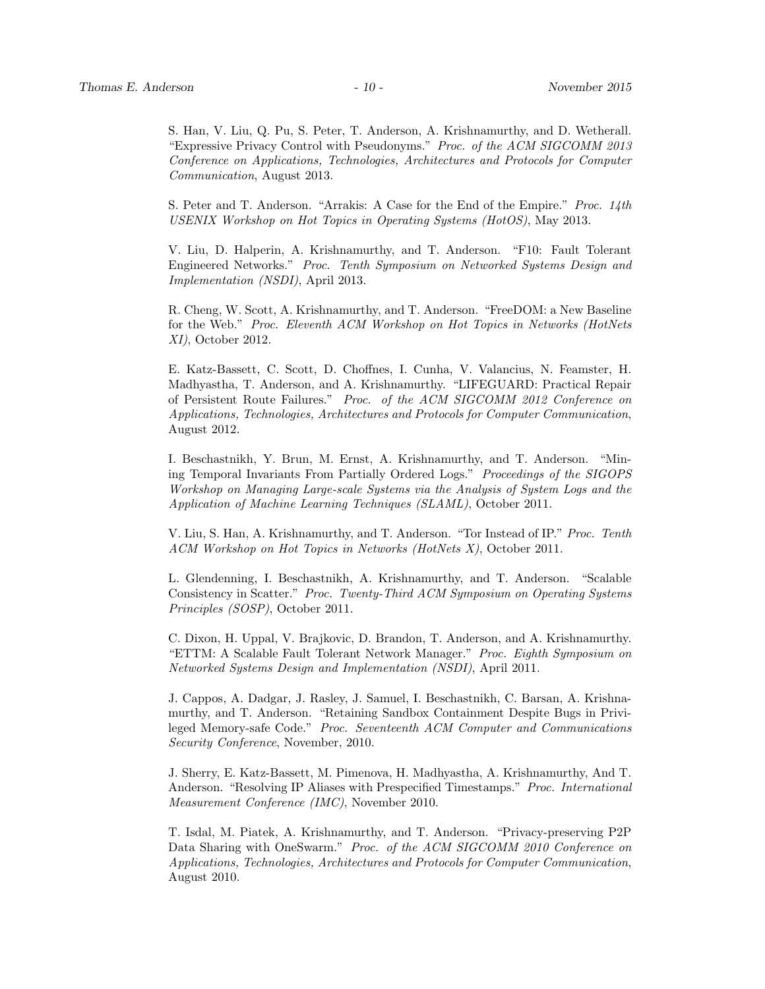S. Han, V. Liu, Q. Pu, S. Peter, T. Anderson, A. Krishnamurthy, and D. Wetherall. "Expressive Privacy Control with Pseudonyms." Proc. of the ACM SIGCOMM 2013 Conference on Applications, Technologies, Architectures and Protocols for Computer Communication, August 2013.

S. Peter and T. Anderson. "Arrakis: A Case for the End of the Empire." Proc. 14th USENIX Workshop on Hot Topics in Operating Systems (HotOS), May 2013.

V. Liu, D. Halperin, A. Krishnamurthy, and T. Anderson. "F10: Fault Tolerant Engineered Networks." Proc. Tenth Symposium on Networked Systems Design and Implementation (NSDI), April 2013.

R. Cheng, W. Scott, A. Krishnamurthy, and T. Anderson. "FreeDOM: a New Baseline for the Web." Proc. Eleventh ACM Workshop on Hot Topics in Networks (HotNets XI), October 2012.

E. Katz-Bassett, C. Scott, D. Choffnes, I. Cunha, V. Valancius, N. Feamster, H. Madhyastha, T. Anderson, and A. Krishnamurthy. "LIFEGUARD: Practical Repair of Persistent Route Failures." Proc. of the ACM SIGCOMM 2012 Conference on Applications, Technologies, Architectures and Protocols for Computer Communication, August 2012.

I. Beschastnikh, Y. Brun, M. Ernst, A. Krishnamurthy, and T. Anderson. "Mining Temporal Invariants From Partially Ordered Logs." Proceedings of the SIGOPS Workshop on Managing Large-scale Systems via the Analysis of System Logs and the Application of Machine Learning Techniques (SLAML), October 2011.

V. Liu, S. Han, A. Krishnamurthy, and T. Anderson. "Tor Instead of IP." Proc. Tenth ACM Workshop on Hot Topics in Networks (HotNets X), October 2011.

L. Glendenning, I. Beschastnikh, A. Krishnamurthy, and T. Anderson. "Scalable Consistency in Scatter." Proc. Twenty-Third ACM Symposium on Operating Systems Principles (SOSP), October 2011.

C. Dixon, H. Uppal, V. Brajkovic, D. Brandon, T. Anderson, and A. Krishnamurthy. "ETTM: A Scalable Fault Tolerant Network Manager." Proc. Eighth Symposium on Networked Systems Design and Implementation (NSDI), April 2011.

J. Cappos, A. Dadgar, J. Rasley, J. Samuel, I. Beschastnikh, C. Barsan, A. Krishnamurthy, and T. Anderson. "Retaining Sandbox Containment Despite Bugs in Privileged Memory-safe Code." Proc. Seventeenth ACM Computer and Communications Security Conference, November, 2010.

J. Sherry, E. Katz-Bassett, M. Pimenova, H. Madhyastha, A. Krishnamurthy, And T. Anderson. "Resolving IP Aliases with Prespecified Timestamps." Proc. International Measurement Conference (IMC), November 2010.

T. Isdal, M. Piatek, A. Krishnamurthy, and T. Anderson. "Privacy-preserving P2P Data Sharing with OneSwarm." Proc. of the ACM SIGCOMM 2010 Conference on Applications, Technologies, Architectures and Protocols for Computer Communication, August 2010.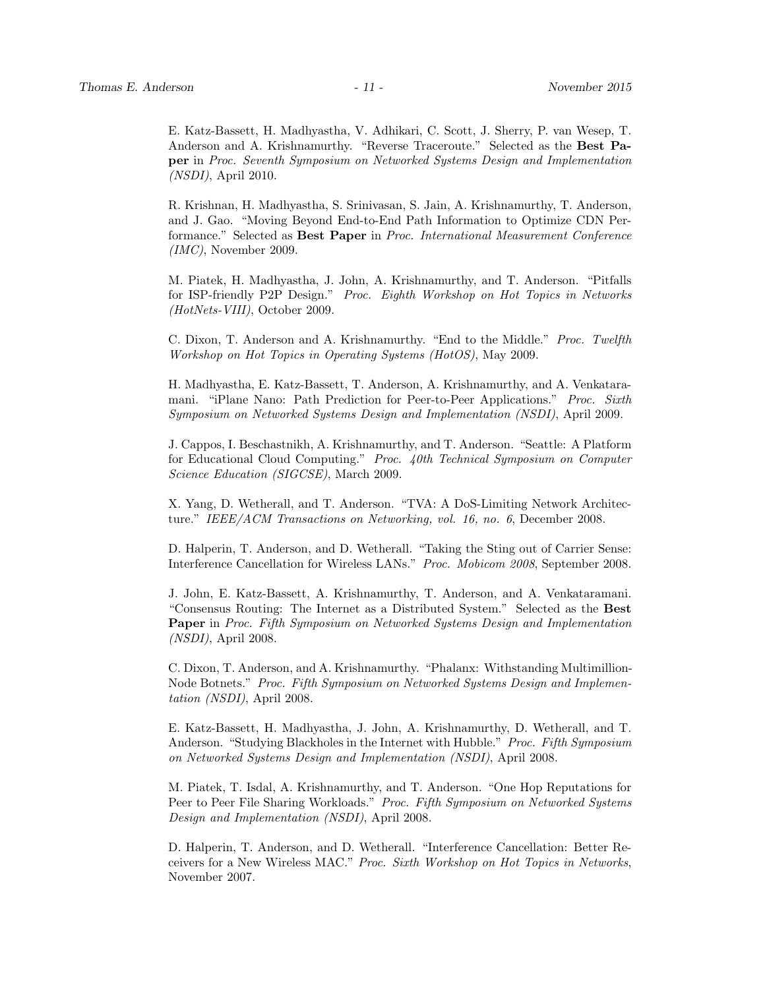E. Katz-Bassett, H. Madhyastha, V. Adhikari, C. Scott, J. Sherry, P. van Wesep, T. Anderson and A. Krishnamurthy. "Reverse Traceroute." Selected as the Best Paper in Proc. Seventh Symposium on Networked Systems Design and Implementation (NSDI), April 2010.

R. Krishnan, H. Madhyastha, S. Srinivasan, S. Jain, A. Krishnamurthy, T. Anderson, and J. Gao. "Moving Beyond End-to-End Path Information to Optimize CDN Performance." Selected as Best Paper in Proc. International Measurement Conference  $(IMC)$ , November 2009.

M. Piatek, H. Madhyastha, J. John, A. Krishnamurthy, and T. Anderson. "Pitfalls for ISP-friendly P2P Design." Proc. Eighth Workshop on Hot Topics in Networks (HotNets-VIII), October 2009.

C. Dixon, T. Anderson and A. Krishnamurthy. "End to the Middle." Proc. Twelfth Workshop on Hot Topics in Operating Systems (HotOS), May 2009.

H. Madhyastha, E. Katz-Bassett, T. Anderson, A. Krishnamurthy, and A. Venkataramani. "iPlane Nano: Path Prediction for Peer-to-Peer Applications." Proc. Sixth Symposium on Networked Systems Design and Implementation (NSDI), April 2009.

J. Cappos, I. Beschastnikh, A. Krishnamurthy, and T. Anderson. "Seattle: A Platform for Educational Cloud Computing." Proc. 40th Technical Symposium on Computer Science Education (SIGCSE), March 2009.

X. Yang, D. Wetherall, and T. Anderson. "TVA: A DoS-Limiting Network Architecture." IEEE/ACM Transactions on Networking, vol. 16, no. 6, December 2008.

D. Halperin, T. Anderson, and D. Wetherall. "Taking the Sting out of Carrier Sense: Interference Cancellation for Wireless LANs." Proc. Mobicom 2008, September 2008.

J. John, E. Katz-Bassett, A. Krishnamurthy, T. Anderson, and A. Venkataramani. "Consensus Routing: The Internet as a Distributed System." Selected as the Best Paper in Proc. Fifth Symposium on Networked Systems Design and Implementation (NSDI), April 2008.

C. Dixon, T. Anderson, and A. Krishnamurthy. "Phalanx: Withstanding Multimillion-Node Botnets." Proc. Fifth Symposium on Networked Systems Design and Implementation (NSDI), April 2008.

E. Katz-Bassett, H. Madhyastha, J. John, A. Krishnamurthy, D. Wetherall, and T. Anderson. "Studying Blackholes in the Internet with Hubble." Proc. Fifth Symposium on Networked Systems Design and Implementation (NSDI), April 2008.

M. Piatek, T. Isdal, A. Krishnamurthy, and T. Anderson. "One Hop Reputations for Peer to Peer File Sharing Workloads." Proc. Fifth Symposium on Networked Systems Design and Implementation (NSDI), April 2008.

D. Halperin, T. Anderson, and D. Wetherall. "Interference Cancellation: Better Receivers for a New Wireless MAC." Proc. Sixth Workshop on Hot Topics in Networks, November 2007.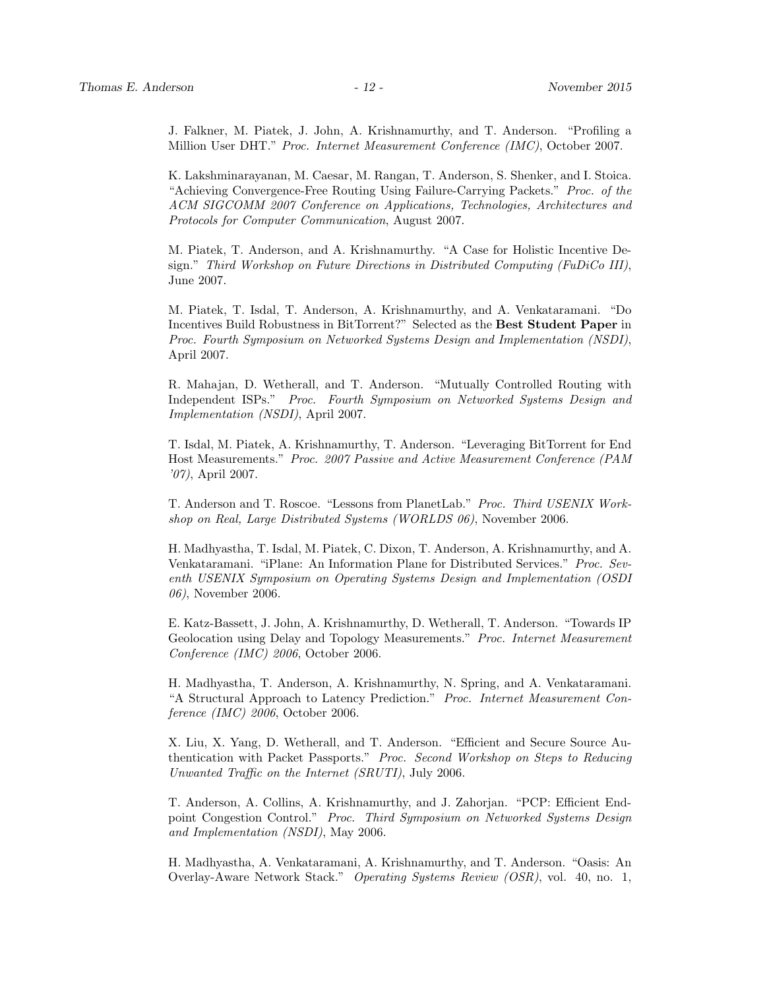J. Falkner, M. Piatek, J. John, A. Krishnamurthy, and T. Anderson. "Profiling a Million User DHT." Proc. Internet Measurement Conference (IMC), October 2007.

K. Lakshminarayanan, M. Caesar, M. Rangan, T. Anderson, S. Shenker, and I. Stoica. "Achieving Convergence-Free Routing Using Failure-Carrying Packets." Proc. of the ACM SIGCOMM 2007 Conference on Applications, Technologies, Architectures and Protocols for Computer Communication, August 2007.

M. Piatek, T. Anderson, and A. Krishnamurthy. "A Case for Holistic Incentive Design." Third Workshop on Future Directions in Distributed Computing (FuDiCo III), June 2007.

M. Piatek, T. Isdal, T. Anderson, A. Krishnamurthy, and A. Venkataramani. "Do Incentives Build Robustness in BitTorrent?" Selected as the Best Student Paper in Proc. Fourth Symposium on Networked Systems Design and Implementation (NSDI), April 2007.

R. Mahajan, D. Wetherall, and T. Anderson. "Mutually Controlled Routing with Independent ISPs." Proc. Fourth Symposium on Networked Systems Design and Implementation (NSDI), April 2007.

T. Isdal, M. Piatek, A. Krishnamurthy, T. Anderson. "Leveraging BitTorrent for End Host Measurements." Proc. 2007 Passive and Active Measurement Conference (PAM '07), April 2007.

T. Anderson and T. Roscoe. "Lessons from PlanetLab." Proc. Third USENIX Workshop on Real, Large Distributed Systems (WORLDS 06), November 2006.

H. Madhyastha, T. Isdal, M. Piatek, C. Dixon, T. Anderson, A. Krishnamurthy, and A. Venkataramani. "iPlane: An Information Plane for Distributed Services." Proc. Seventh USENIX Symposium on Operating Systems Design and Implementation (OSDI 06), November 2006.

E. Katz-Bassett, J. John, A. Krishnamurthy, D. Wetherall, T. Anderson. "Towards IP Geolocation using Delay and Topology Measurements." Proc. Internet Measurement Conference (IMC) 2006, October 2006.

H. Madhyastha, T. Anderson, A. Krishnamurthy, N. Spring, and A. Venkataramani. "A Structural Approach to Latency Prediction." Proc. Internet Measurement Conference (IMC) 2006, October 2006.

X. Liu, X. Yang, D. Wetherall, and T. Anderson. "Efficient and Secure Source Authentication with Packet Passports." Proc. Second Workshop on Steps to Reducing Unwanted Traffic on the Internet (SRUTI), July 2006.

T. Anderson, A. Collins, A. Krishnamurthy, and J. Zahorjan. "PCP: Efficient Endpoint Congestion Control." Proc. Third Symposium on Networked Systems Design and Implementation (NSDI), May 2006.

H. Madhyastha, A. Venkataramani, A. Krishnamurthy, and T. Anderson. "Oasis: An Overlay-Aware Network Stack." Operating Systems Review (OSR), vol. 40, no. 1,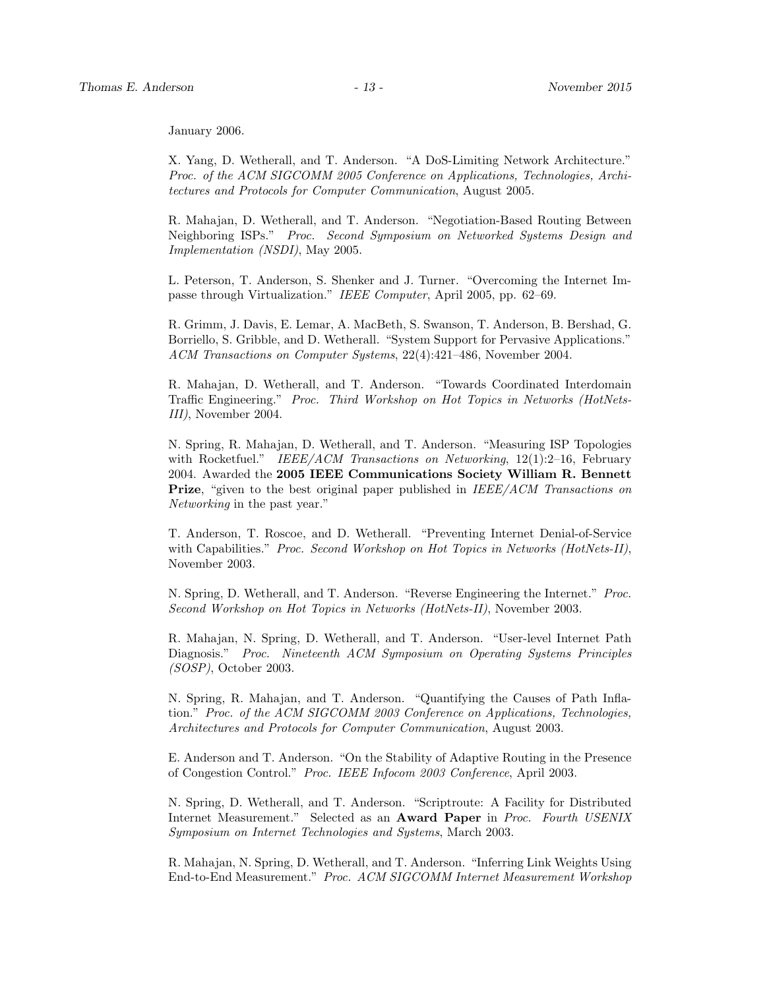January 2006.

X. Yang, D. Wetherall, and T. Anderson. "A DoS-Limiting Network Architecture." Proc. of the ACM SIGCOMM 2005 Conference on Applications, Technologies, Architectures and Protocols for Computer Communication, August 2005.

R. Mahajan, D. Wetherall, and T. Anderson. "Negotiation-Based Routing Between Neighboring ISPs." Proc. Second Symposium on Networked Systems Design and Implementation (NSDI), May 2005.

L. Peterson, T. Anderson, S. Shenker and J. Turner. "Overcoming the Internet Impasse through Virtualization." IEEE Computer, April 2005, pp. 62–69.

R. Grimm, J. Davis, E. Lemar, A. MacBeth, S. Swanson, T. Anderson, B. Bershad, G. Borriello, S. Gribble, and D. Wetherall. "System Support for Pervasive Applications." ACM Transactions on Computer Systems, 22(4):421–486, November 2004.

R. Mahajan, D. Wetherall, and T. Anderson. "Towards Coordinated Interdomain Traffic Engineering." Proc. Third Workshop on Hot Topics in Networks (HotNets-III), November 2004.

N. Spring, R. Mahajan, D. Wetherall, and T. Anderson. "Measuring ISP Topologies with Rocketfuel." IEEE/ACM Transactions on Networking, 12(1):2-16, February 2004. Awarded the 2005 IEEE Communications Society William R. Bennett **Prize**, "given to the best original paper published in *IEEE/ACM Transactions on* Networking in the past year."

T. Anderson, T. Roscoe, and D. Wetherall. "Preventing Internet Denial-of-Service with Capabilities." Proc. Second Workshop on Hot Topics in Networks (HotNets-II), November 2003.

N. Spring, D. Wetherall, and T. Anderson. "Reverse Engineering the Internet." Proc. Second Workshop on Hot Topics in Networks (HotNets-II), November 2003.

R. Mahajan, N. Spring, D. Wetherall, and T. Anderson. "User-level Internet Path Diagnosis." Proc. Nineteenth ACM Symposium on Operating Systems Principles (SOSP), October 2003.

N. Spring, R. Mahajan, and T. Anderson. "Quantifying the Causes of Path Inflation." Proc. of the ACM SIGCOMM 2003 Conference on Applications, Technologies, Architectures and Protocols for Computer Communication, August 2003.

E. Anderson and T. Anderson. "On the Stability of Adaptive Routing in the Presence of Congestion Control." Proc. IEEE Infocom 2003 Conference, April 2003.

N. Spring, D. Wetherall, and T. Anderson. "Scriptroute: A Facility for Distributed Internet Measurement." Selected as an Award Paper in Proc. Fourth USENIX Symposium on Internet Technologies and Systems, March 2003.

R. Mahajan, N. Spring, D. Wetherall, and T. Anderson. "Inferring Link Weights Using End-to-End Measurement." Proc. ACM SIGCOMM Internet Measurement Workshop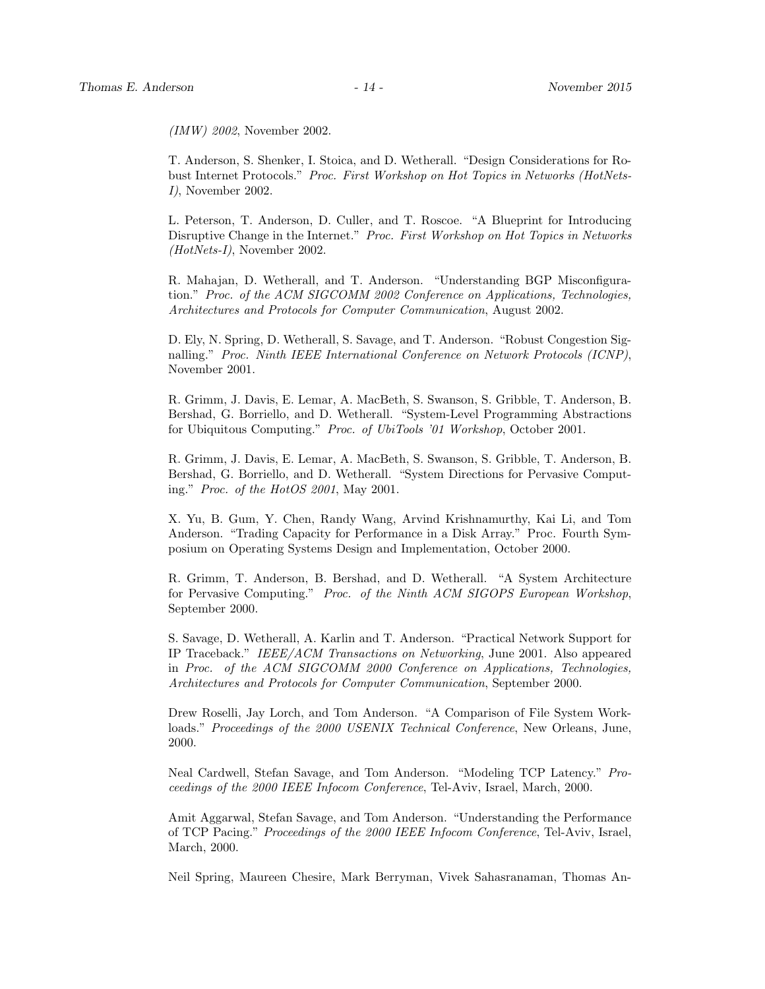(IMW) 2002, November 2002.

T. Anderson, S. Shenker, I. Stoica, and D. Wetherall. "Design Considerations for Robust Internet Protocols." Proc. First Workshop on Hot Topics in Networks (HotNets-I), November 2002.

L. Peterson, T. Anderson, D. Culler, and T. Roscoe. "A Blueprint for Introducing Disruptive Change in the Internet." Proc. First Workshop on Hot Topics in Networks (HotNets-I), November 2002.

R. Mahajan, D. Wetherall, and T. Anderson. "Understanding BGP Misconfiguration." Proc. of the ACM SIGCOMM 2002 Conference on Applications, Technologies, Architectures and Protocols for Computer Communication, August 2002.

D. Ely, N. Spring, D. Wetherall, S. Savage, and T. Anderson. "Robust Congestion Signalling." Proc. Ninth IEEE International Conference on Network Protocols (ICNP), November 2001.

R. Grimm, J. Davis, E. Lemar, A. MacBeth, S. Swanson, S. Gribble, T. Anderson, B. Bershad, G. Borriello, and D. Wetherall. "System-Level Programming Abstractions for Ubiquitous Computing." Proc. of UbiTools '01 Workshop, October 2001.

R. Grimm, J. Davis, E. Lemar, A. MacBeth, S. Swanson, S. Gribble, T. Anderson, B. Bershad, G. Borriello, and D. Wetherall. "System Directions for Pervasive Computing." Proc. of the HotOS 2001, May 2001.

X. Yu, B. Gum, Y. Chen, Randy Wang, Arvind Krishnamurthy, Kai Li, and Tom Anderson. "Trading Capacity for Performance in a Disk Array." Proc. Fourth Symposium on Operating Systems Design and Implementation, October 2000.

R. Grimm, T. Anderson, B. Bershad, and D. Wetherall. "A System Architecture for Pervasive Computing." Proc. of the Ninth ACM SIGOPS European Workshop, September 2000.

S. Savage, D. Wetherall, A. Karlin and T. Anderson. "Practical Network Support for IP Traceback." IEEE/ACM Transactions on Networking, June 2001. Also appeared in Proc. of the ACM SIGCOMM 2000 Conference on Applications, Technologies, Architectures and Protocols for Computer Communication, September 2000.

Drew Roselli, Jay Lorch, and Tom Anderson. "A Comparison of File System Workloads." Proceedings of the 2000 USENIX Technical Conference, New Orleans, June, 2000.

Neal Cardwell, Stefan Savage, and Tom Anderson. "Modeling TCP Latency." Proceedings of the 2000 IEEE Infocom Conference, Tel-Aviv, Israel, March, 2000.

Amit Aggarwal, Stefan Savage, and Tom Anderson. "Understanding the Performance of TCP Pacing." Proceedings of the 2000 IEEE Infocom Conference, Tel-Aviv, Israel, March, 2000.

Neil Spring, Maureen Chesire, Mark Berryman, Vivek Sahasranaman, Thomas An-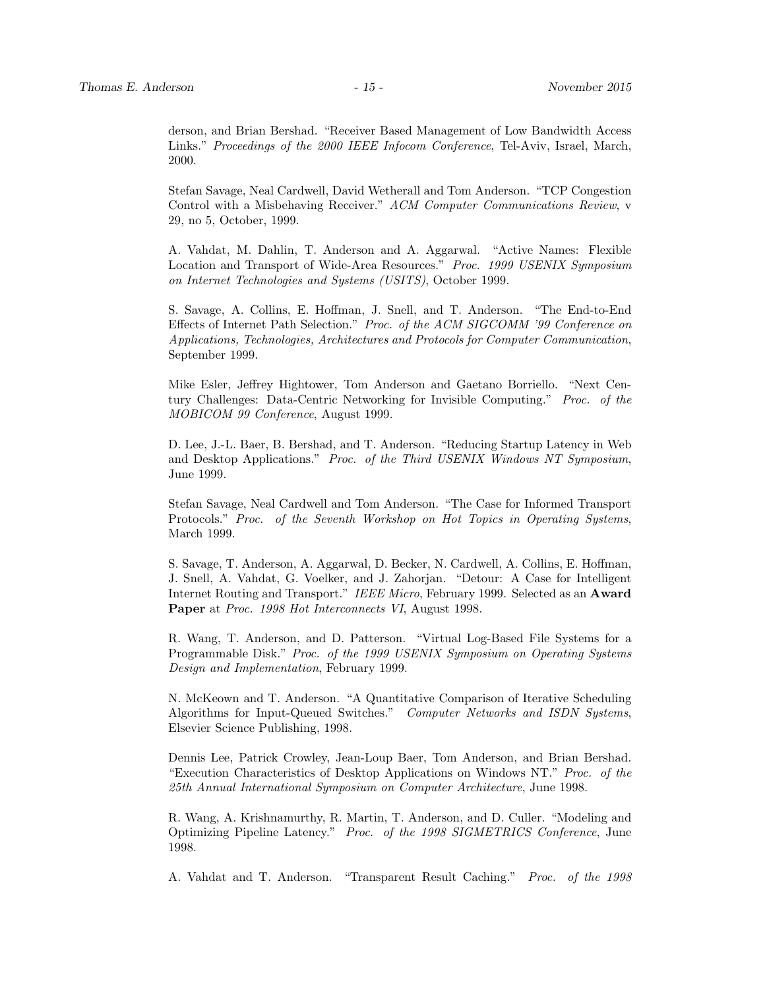derson, and Brian Bershad. "Receiver Based Management of Low Bandwidth Access Links." Proceedings of the 2000 IEEE Infocom Conference, Tel-Aviv, Israel, March, 2000.

Stefan Savage, Neal Cardwell, David Wetherall and Tom Anderson. "TCP Congestion Control with a Misbehaving Receiver." ACM Computer Communications Review, v 29, no 5, October, 1999.

A. Vahdat, M. Dahlin, T. Anderson and A. Aggarwal. "Active Names: Flexible Location and Transport of Wide-Area Resources." Proc. 1999 USENIX Symposium on Internet Technologies and Systems (USITS), October 1999.

S. Savage, A. Collins, E. Hoffman, J. Snell, and T. Anderson. "The End-to-End Effects of Internet Path Selection." Proc. of the ACM SIGCOMM '99 Conference on Applications, Technologies, Architectures and Protocols for Computer Communication, September 1999.

Mike Esler, Jeffrey Hightower, Tom Anderson and Gaetano Borriello. "Next Century Challenges: Data-Centric Networking for Invisible Computing." Proc. of the MOBICOM 99 Conference, August 1999.

D. Lee, J.-L. Baer, B. Bershad, and T. Anderson. "Reducing Startup Latency in Web and Desktop Applications." Proc. of the Third USENIX Windows NT Symposium, June 1999.

Stefan Savage, Neal Cardwell and Tom Anderson. "The Case for Informed Transport Protocols." Proc. of the Seventh Workshop on Hot Topics in Operating Systems, March 1999.

S. Savage, T. Anderson, A. Aggarwal, D. Becker, N. Cardwell, A. Collins, E. Hoffman, J. Snell, A. Vahdat, G. Voelker, and J. Zahorjan. "Detour: A Case for Intelligent Internet Routing and Transport." IEEE Micro, February 1999. Selected as an Award Paper at *Proc.* 1998 Hot Interconnects VI, August 1998.

R. Wang, T. Anderson, and D. Patterson. "Virtual Log-Based File Systems for a Programmable Disk." Proc. of the 1999 USENIX Symposium on Operating Systems Design and Implementation, February 1999.

N. McKeown and T. Anderson. "A Quantitative Comparison of Iterative Scheduling Algorithms for Input-Queued Switches." Computer Networks and ISDN Systems, Elsevier Science Publishing, 1998.

Dennis Lee, Patrick Crowley, Jean-Loup Baer, Tom Anderson, and Brian Bershad. "Execution Characteristics of Desktop Applications on Windows NT." Proc. of the 25th Annual International Symposium on Computer Architecture, June 1998.

R. Wang, A. Krishnamurthy, R. Martin, T. Anderson, and D. Culler. "Modeling and Optimizing Pipeline Latency." Proc. of the 1998 SIGMETRICS Conference, June 1998.

A. Vahdat and T. Anderson. "Transparent Result Caching." Proc. of the 1998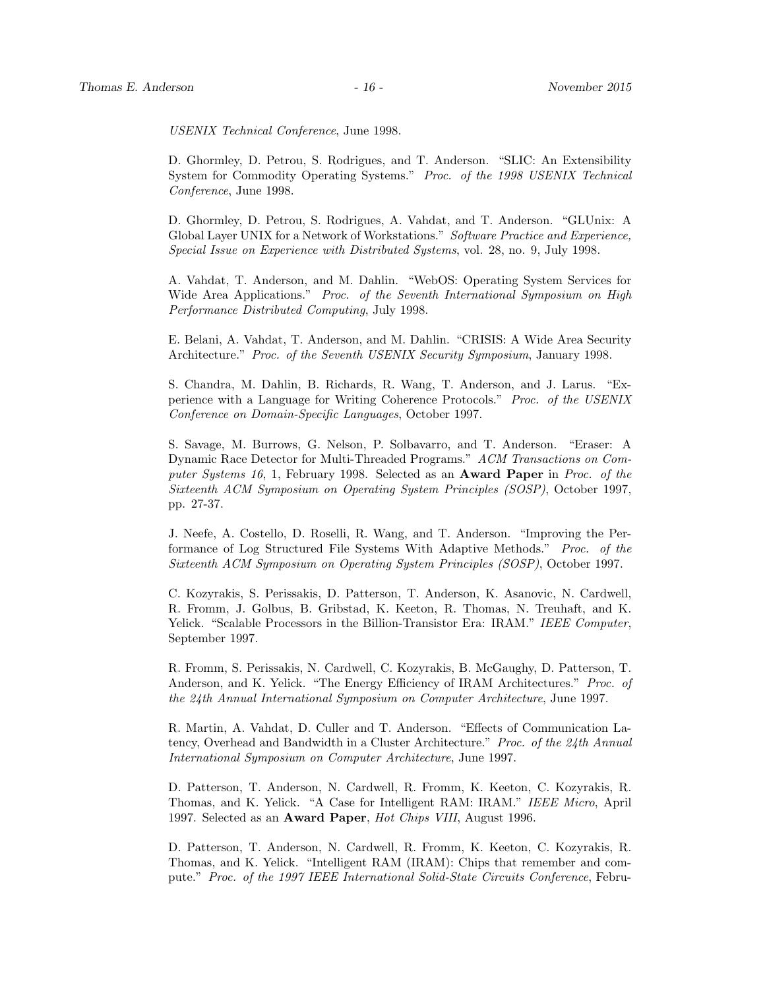USENIX Technical Conference, June 1998.

D. Ghormley, D. Petrou, S. Rodrigues, and T. Anderson. "SLIC: An Extensibility System for Commodity Operating Systems." Proc. of the 1998 USENIX Technical Conference, June 1998.

D. Ghormley, D. Petrou, S. Rodrigues, A. Vahdat, and T. Anderson. "GLUnix: A Global Layer UNIX for a Network of Workstations." Software Practice and Experience, Special Issue on Experience with Distributed Systems, vol. 28, no. 9, July 1998.

A. Vahdat, T. Anderson, and M. Dahlin. "WebOS: Operating System Services for Wide Area Applications." Proc. of the Seventh International Symposium on High Performance Distributed Computing, July 1998.

E. Belani, A. Vahdat, T. Anderson, and M. Dahlin. "CRISIS: A Wide Area Security Architecture." Proc. of the Seventh USENIX Security Symposium, January 1998.

S. Chandra, M. Dahlin, B. Richards, R. Wang, T. Anderson, and J. Larus. "Experience with a Language for Writing Coherence Protocols." Proc. of the USENIX Conference on Domain-Specific Languages, October 1997.

S. Savage, M. Burrows, G. Nelson, P. Solbavarro, and T. Anderson. "Eraser: A Dynamic Race Detector for Multi-Threaded Programs." ACM Transactions on Computer Systems 16, 1, February 1998. Selected as an **Award Paper** in Proc. of the Sixteenth ACM Symposium on Operating System Principles (SOSP), October 1997, pp. 27-37.

J. Neefe, A. Costello, D. Roselli, R. Wang, and T. Anderson. "Improving the Performance of Log Structured File Systems With Adaptive Methods." Proc. of the Sixteenth ACM Symposium on Operating System Principles (SOSP), October 1997.

C. Kozyrakis, S. Perissakis, D. Patterson, T. Anderson, K. Asanovic, N. Cardwell, R. Fromm, J. Golbus, B. Gribstad, K. Keeton, R. Thomas, N. Treuhaft, and K. Yelick. "Scalable Processors in the Billion-Transistor Era: IRAM." IEEE Computer, September 1997.

R. Fromm, S. Perissakis, N. Cardwell, C. Kozyrakis, B. McGaughy, D. Patterson, T. Anderson, and K. Yelick. "The Energy Efficiency of IRAM Architectures." Proc. of the 24th Annual International Symposium on Computer Architecture, June 1997.

R. Martin, A. Vahdat, D. Culler and T. Anderson. "Effects of Communication Latency, Overhead and Bandwidth in a Cluster Architecture." Proc. of the 24th Annual International Symposium on Computer Architecture, June 1997.

D. Patterson, T. Anderson, N. Cardwell, R. Fromm, K. Keeton, C. Kozyrakis, R. Thomas, and K. Yelick. "A Case for Intelligent RAM: IRAM." IEEE Micro, April 1997. Selected as an Award Paper, Hot Chips VIII, August 1996.

D. Patterson, T. Anderson, N. Cardwell, R. Fromm, K. Keeton, C. Kozyrakis, R. Thomas, and K. Yelick. "Intelligent RAM (IRAM): Chips that remember and compute." Proc. of the 1997 IEEE International Solid-State Circuits Conference, Febru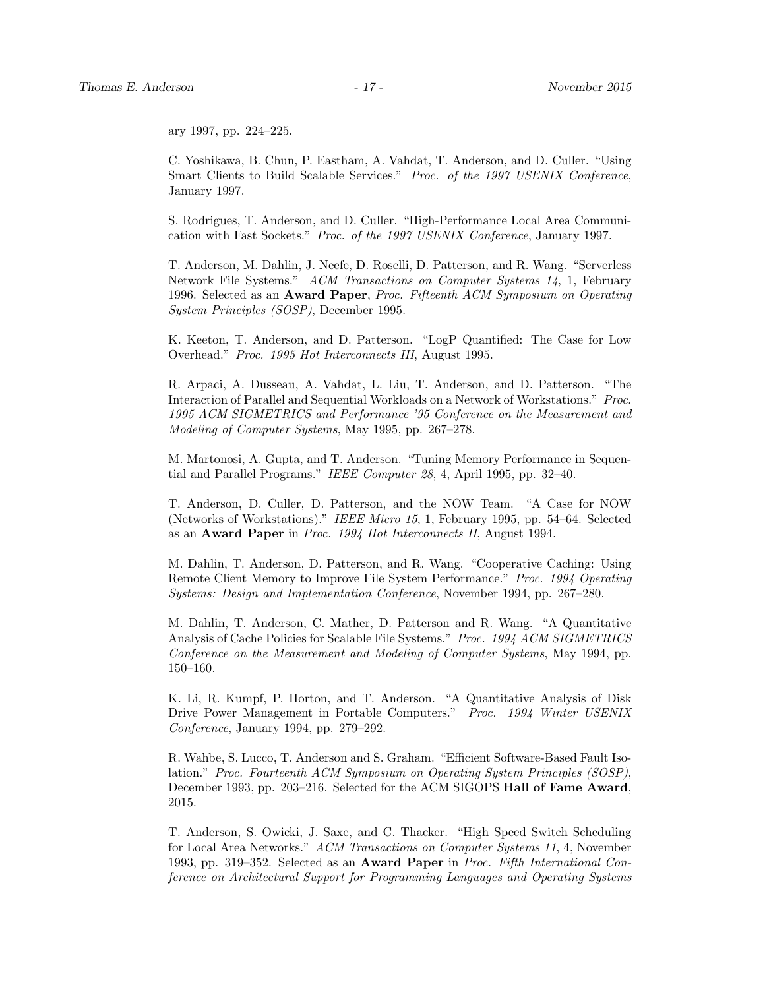ary 1997, pp. 224–225.

C. Yoshikawa, B. Chun, P. Eastham, A. Vahdat, T. Anderson, and D. Culler. "Using Smart Clients to Build Scalable Services." Proc. of the 1997 USENIX Conference, January 1997.

S. Rodrigues, T. Anderson, and D. Culler. "High-Performance Local Area Communication with Fast Sockets." Proc. of the 1997 USENIX Conference, January 1997.

T. Anderson, M. Dahlin, J. Neefe, D. Roselli, D. Patterson, and R. Wang. "Serverless Network File Systems." ACM Transactions on Computer Systems 14, 1, February 1996. Selected as an Award Paper, Proc. Fifteenth ACM Symposium on Operating System Principles (SOSP), December 1995.

K. Keeton, T. Anderson, and D. Patterson. "LogP Quantified: The Case for Low Overhead." Proc. 1995 Hot Interconnects III, August 1995.

R. Arpaci, A. Dusseau, A. Vahdat, L. Liu, T. Anderson, and D. Patterson. "The Interaction of Parallel and Sequential Workloads on a Network of Workstations." Proc. 1995 ACM SIGMETRICS and Performance '95 Conference on the Measurement and Modeling of Computer Systems, May 1995, pp. 267–278.

M. Martonosi, A. Gupta, and T. Anderson. "Tuning Memory Performance in Sequential and Parallel Programs." IEEE Computer 28, 4, April 1995, pp. 32–40.

T. Anderson, D. Culler, D. Patterson, and the NOW Team. "A Case for NOW (Networks of Workstations)." IEEE Micro 15, 1, February 1995, pp. 54–64. Selected as an Award Paper in Proc. 1994 Hot Interconnects II, August 1994.

M. Dahlin, T. Anderson, D. Patterson, and R. Wang. "Cooperative Caching: Using Remote Client Memory to Improve File System Performance." Proc. 1994 Operating Systems: Design and Implementation Conference, November 1994, pp. 267–280.

M. Dahlin, T. Anderson, C. Mather, D. Patterson and R. Wang. "A Quantitative Analysis of Cache Policies for Scalable File Systems." Proc. 1994 ACM SIGMETRICS Conference on the Measurement and Modeling of Computer Systems, May 1994, pp. 150–160.

K. Li, R. Kumpf, P. Horton, and T. Anderson. "A Quantitative Analysis of Disk Drive Power Management in Portable Computers." Proc. 1994 Winter USENIX Conference, January 1994, pp. 279–292.

R. Wahbe, S. Lucco, T. Anderson and S. Graham. "Efficient Software-Based Fault Isolation." Proc. Fourteenth ACM Symposium on Operating System Principles (SOSP), December 1993, pp. 203–216. Selected for the ACM SIGOPS Hall of Fame Award, 2015.

T. Anderson, S. Owicki, J. Saxe, and C. Thacker. "High Speed Switch Scheduling for Local Area Networks." ACM Transactions on Computer Systems 11, 4, November 1993, pp. 319–352. Selected as an Award Paper in Proc. Fifth International Conference on Architectural Support for Programming Languages and Operating Systems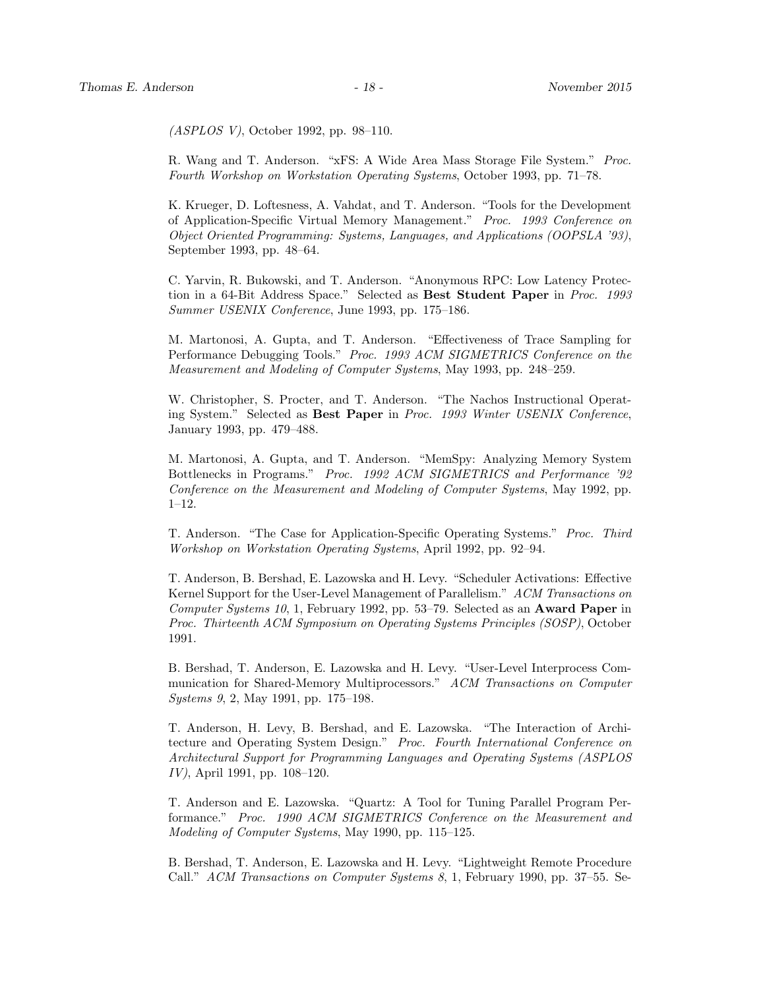(ASPLOS V), October 1992, pp. 98–110.

R. Wang and T. Anderson. "xFS: A Wide Area Mass Storage File System." Proc. Fourth Workshop on Workstation Operating Systems, October 1993, pp. 71–78.

K. Krueger, D. Loftesness, A. Vahdat, and T. Anderson. "Tools for the Development of Application-Specific Virtual Memory Management." Proc. 1993 Conference on Object Oriented Programming: Systems, Languages, and Applications (OOPSLA '93), September 1993, pp. 48–64.

C. Yarvin, R. Bukowski, and T. Anderson. "Anonymous RPC: Low Latency Protection in a 64-Bit Address Space." Selected as Best Student Paper in Proc. 1993 Summer USENIX Conference, June 1993, pp. 175–186.

M. Martonosi, A. Gupta, and T. Anderson. "Effectiveness of Trace Sampling for Performance Debugging Tools." Proc. 1993 ACM SIGMETRICS Conference on the Measurement and Modeling of Computer Systems, May 1993, pp. 248–259.

W. Christopher, S. Procter, and T. Anderson. "The Nachos Instructional Operating System." Selected as Best Paper in Proc. 1993 Winter USENIX Conference, January 1993, pp. 479–488.

M. Martonosi, A. Gupta, and T. Anderson. "MemSpy: Analyzing Memory System Bottlenecks in Programs." Proc. 1992 ACM SIGMETRICS and Performance '92 Conference on the Measurement and Modeling of Computer Systems, May 1992, pp. 1–12.

T. Anderson. "The Case for Application-Specific Operating Systems." Proc. Third Workshop on Workstation Operating Systems, April 1992, pp. 92–94.

T. Anderson, B. Bershad, E. Lazowska and H. Levy. "Scheduler Activations: Effective Kernel Support for the User-Level Management of Parallelism." ACM Transactions on Computer Systems 10, 1, February 1992, pp. 53–79. Selected as an Award Paper in Proc. Thirteenth ACM Symposium on Operating Systems Principles (SOSP), October 1991.

B. Bershad, T. Anderson, E. Lazowska and H. Levy. "User-Level Interprocess Communication for Shared-Memory Multiprocessors." ACM Transactions on Computer Systems 9, 2, May 1991, pp. 175–198.

T. Anderson, H. Levy, B. Bershad, and E. Lazowska. "The Interaction of Architecture and Operating System Design." Proc. Fourth International Conference on Architectural Support for Programming Languages and Operating Systems (ASPLOS IV), April 1991, pp. 108–120.

T. Anderson and E. Lazowska. "Quartz: A Tool for Tuning Parallel Program Performance." Proc. 1990 ACM SIGMETRICS Conference on the Measurement and Modeling of Computer Systems, May 1990, pp. 115–125.

B. Bershad, T. Anderson, E. Lazowska and H. Levy. "Lightweight Remote Procedure Call." ACM Transactions on Computer Systems 8, 1, February 1990, pp. 37–55. Se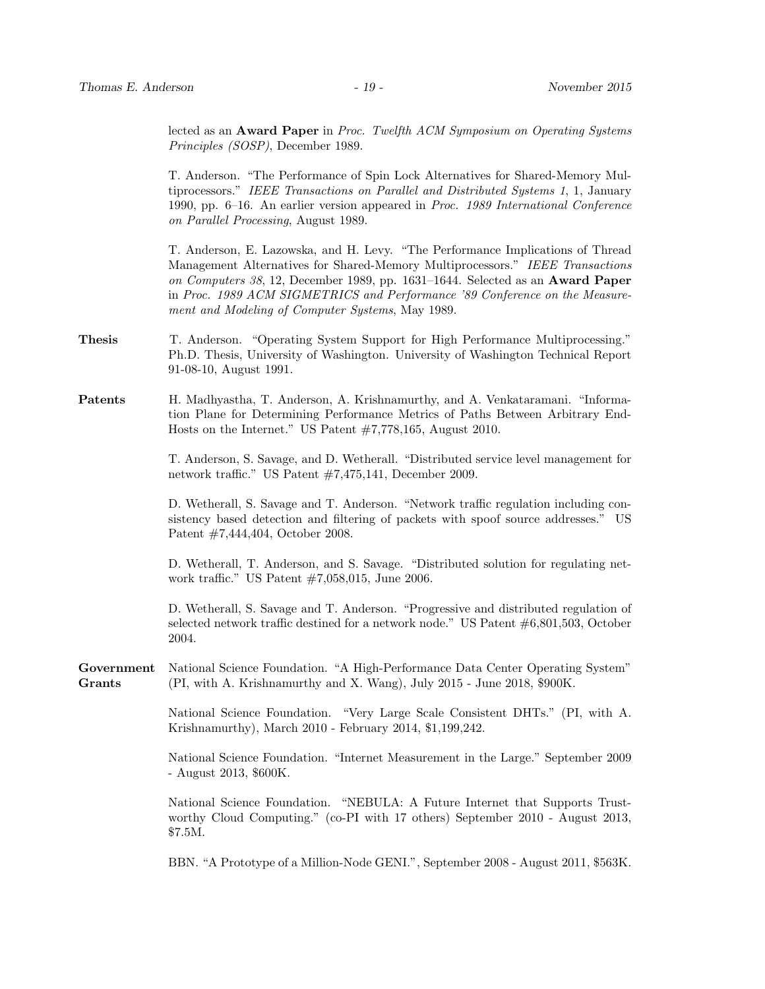lected as an **Award Paper** in Proc. Twelfth ACM Symposium on Operating Systems Principles (SOSP), December 1989.

T. Anderson. "The Performance of Spin Lock Alternatives for Shared-Memory Multiprocessors." IEEE Transactions on Parallel and Distributed Systems 1, 1, January 1990, pp. 6–16. An earlier version appeared in Proc. 1989 International Conference on Parallel Processing, August 1989.

T. Anderson, E. Lazowska, and H. Levy. "The Performance Implications of Thread Management Alternatives for Shared-Memory Multiprocessors." IEEE Transactions on Computers 38, 12, December 1989, pp. 1631–1644. Selected as an Award Paper in Proc. 1989 ACM SIGMETRICS and Performance '89 Conference on the Measurement and Modeling of Computer Systems, May 1989.

- Thesis T. Anderson. "Operating System Support for High Performance Multiprocessing." Ph.D. Thesis, University of Washington. University of Washington Technical Report 91-08-10, August 1991.
- Patents H. Madhyastha, T. Anderson, A. Krishnamurthy, and A. Venkataramani. "Information Plane for Determining Performance Metrics of Paths Between Arbitrary End-Hosts on the Internet." US Patent #7,778,165, August 2010.

T. Anderson, S. Savage, and D. Wetherall. "Distributed service level management for network traffic." US Patent #7,475,141, December 2009.

D. Wetherall, S. Savage and T. Anderson. "Network traffic regulation including consistency based detection and filtering of packets with spoof source addresses." US Patent #7,444,404, October 2008.

D. Wetherall, T. Anderson, and S. Savage. "Distributed solution for regulating network traffic." US Patent #7,058,015, June 2006.

D. Wetherall, S. Savage and T. Anderson. "Progressive and distributed regulation of selected network traffic destined for a network node." US Patent #6,801,503, October 2004.

Government National Science Foundation. "A High-Performance Data Center Operating System" Grants (PI, with A. Krishnamurthy and X. Wang), July 2015 - June 2018, \$900K.

> National Science Foundation. "Very Large Scale Consistent DHTs." (PI, with A. Krishnamurthy), March 2010 - February 2014, \$1,199,242.

> National Science Foundation. "Internet Measurement in the Large." September 2009 - August 2013, \$600K.

> National Science Foundation. "NEBULA: A Future Internet that Supports Trustworthy Cloud Computing." (co-PI with 17 others) September 2010 - August 2013, \$7.5M.

> BBN. "A Prototype of a Million-Node GENI.", September 2008 - August 2011, \$563K.